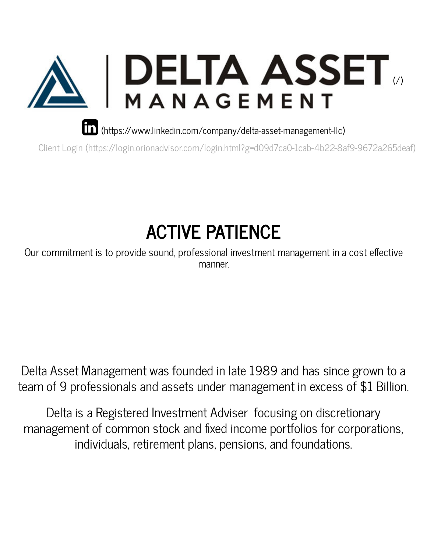

[\(https://www.linkedin.com/company/delta-asset-management-llc\)](https://www.linkedin.com/company/delta-asset-management-llc)

Client Login [\(https://login.orionadvisor.com/login.html?g=d09d7ca0-1cab-4b22-8af9-9672a265deaf\)](https://login.orionadvisor.com/login.html?g=d09d7ca0-1cab-4b22-8af9-9672a265deaf)

# **ACTIVE PATIENCE**

Our commitment is to provide sound, professional investment management in a cost effective manner.

Delta Asset Management was founded in late 1989 and has since grown to a team of 9 professionals and assets under management in excess of \$1 Billion.

Delta is a Registered Investment Adviser focusing on discretionary management of common stock and fixed income portfolios for corporations, individuals, retirement plans, pensions, and foundations.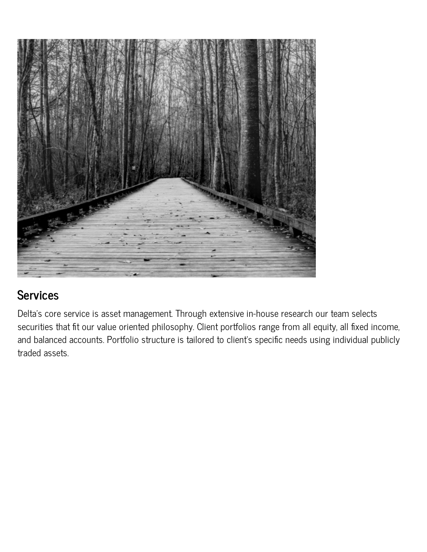

#### **Services**

Delta's core service is asset management. Through extensive in-house research our team selects securities that fit our value oriented philosophy. Client portfolios range from all equity, all fixed income, and balanced accounts. Portfolio structure is tailored to client's specific needs using individual publicly traded assets.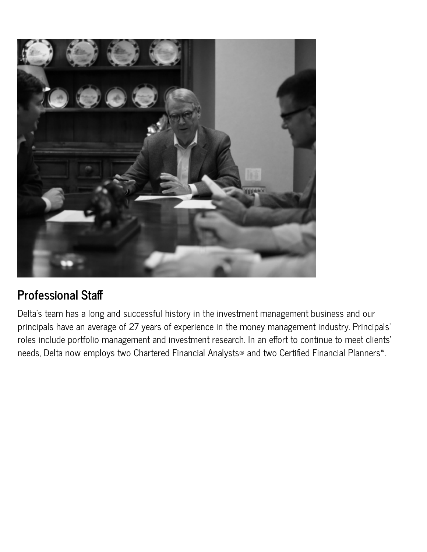

#### **Professional Sta**

Delta's team has a long and successful history in the investment management business and our principals have an average of 27 years of experience in the money management industry. Principals' roles include portfolio management and investment research. In an effort to continue to meet clients' needs, Delta now employs two Chartered Financial Analysts® and two Certified Financial Planners<sup>™</sup>.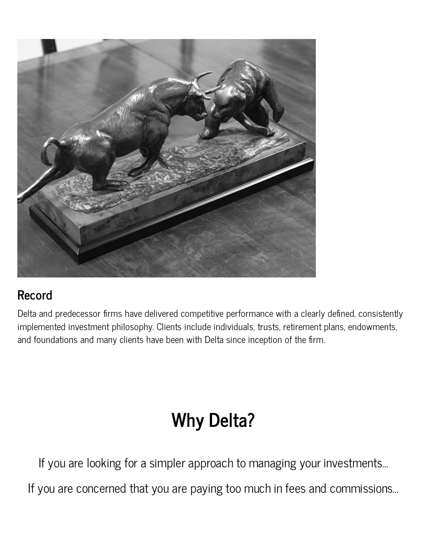

#### **Record**

Delta and predecessor firms have delivered competitive performance with a clearly defined, consistently implemented investment philosophy. Clients include individuals, trusts, retirement plans, endowments, and foundations and many clients have been with Delta since inception of the firm.

## **Why Delta?**

If you are looking for a simpler approach to managing your investments…

If you are concerned that you are paying too much in fees and commissions…